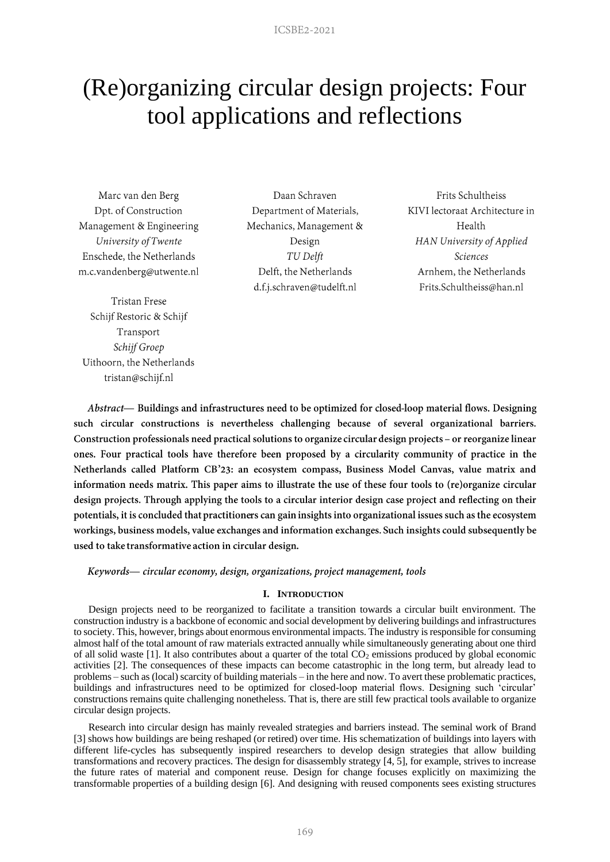# (Re)organizing circular design projects: Four tool applications and reflections

Marc van den Berg Dpt. of Construction Management & Engineering University of Twente Enschede, the Netherlands m.c.vandenberg@utwente.nl

**Tristan Frese** Schijf Restoric & Schijf Transport Schijf Groep Uithoorn, the Netherlands tristan@schijf.nl

Daan Schraven Department of Materials, Mechanics, Management & Design TU Delft Delft, the Netherlands d.f.j.schraven@tudelft.nl

Frits Schultheiss KIVI lectoraat Architecture in Health HAN University of Applied **Sciences** Arnhem, the Netherlands Frits.Schultheiss@han.nl

Abstract- Buildings and infrastructures need to be optimized for closed-loop material flows. Designing such circular constructions is nevertheless challenging because of several organizational barriers. Construction professionals need practical solutions to organize circular design projects - or reorganize linear ones. Four practical tools have therefore been proposed by a circularity community of practice in the Netherlands called Platform CB'23: an ecosystem compass, Business Model Canvas, value matrix and information needs matrix. This paper aims to illustrate the use of these four tools to (re)organize circular design projects. Through applying the tools to a circular interior design case project and reflecting on their potentials, it is concluded that practitioners can gain insights into organizational issues such as the ecosystem workings, business models, value exchanges and information exchanges. Such insights could subsequently be used to take transformative action in circular design.

Keywords— circular economy, design, organizations, project management, tools

## **I. INTRODUCTION**

Design projects need to be reorganized to facilitate a transition towards a circular built environment. The construction industry is a backbone of economic and social development by delivering buildings and infrastructures to society. This, however, brings about enormous environmental impacts. The industry is responsible for consuming almost half of the total amount of raw materials extracted annually while simultaneously generating about one third of all solid waste [1]. It also contributes about a quarter of the total  $CO<sub>2</sub>$  emissions produced by global economic activities [2]. The consequences of these impacts can become catastrophic in the long term, but already lead to problems – such as (local) scarcity of building materials – in the here and now. To avert these problematic practices, buildings and infrastructures need to be optimized for closed-loop material flows. Designing such 'circular' constructions remains quite challenging nonetheless. That is, there are still few practical tools available to organize circular design projects.

Research into circular design has mainly revealed strategies and barriers instead. The seminal work of Brand [3] shows how buildings are being reshaped (or retired) over time. His schematization of buildings into layers with different life-cycles has subsequently inspired researchers to develop design strategies that allow building transformations and recovery practices. The design for disassembly strategy [4, 5], for example, strives to increase the future rates of material and component reuse. Design for change focuses explicitly on maximizing the transformable properties of a building design [6]. And designing with reused components sees existing structures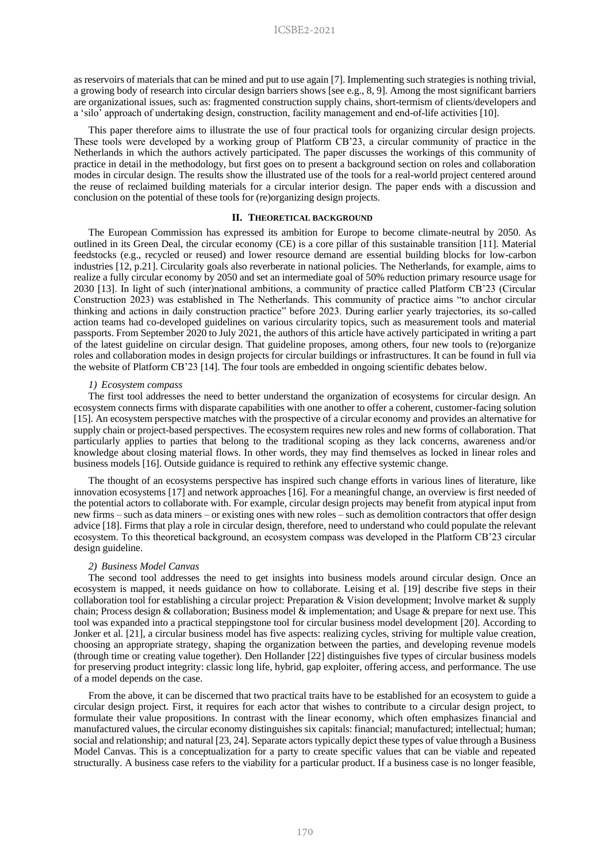as reservoirs of materials that can be mined and put to use again [7]. Implementing such strategies is nothing trivial, a growing body of research into circular design barriers shows [see e.g., 8, 9]. Among the most significant barriers are organizational issues, such as: fragmented construction supply chains, short-termism of clients/developers and a 'silo' approach of undertaking design, construction, facility management and end-of-life activities [10].

This paper therefore aims to illustrate the use of four practical tools for organizing circular design projects. These tools were developed by a working group of Platform CB'23, a circular community of practice in the Netherlands in which the authors actively participated. The paper discusses the workings of this community of practice in detail in the methodology, but first goes on to present a background section on roles and collaboration modes in circular design. The results show the illustrated use of the tools for a real-world project centered around the reuse of reclaimed building materials for a circular interior design. The paper ends with a discussion and conclusion on the potential of these tools for (re)organizing design projects.

#### **II. THEORETICAL BACKGROUND**

The European Commission has expressed its ambition for Europe to become climate-neutral by 2050. As outlined in its Green Deal, the circular economy (CE) is a core pillar of this sustainable transition [11]. Material feedstocks (e.g., recycled or reused) and lower resource demand are essential building blocks for low-carbon industries [12, p.21]. Circularity goals also reverberate in national policies. The Netherlands, for example, aims to realize a fully circular economy by 2050 and set an intermediate goal of 50% reduction primary resource usage for 2030 [13]. In light of such (inter)national ambitions, a community of practice called Platform CB'23 (Circular Construction 2023) was established in The Netherlands. This community of practice aims "to anchor circular thinking and actions in daily construction practice" before 2023. During earlier yearly trajectories, its so-called action teams had co-developed guidelines on various circularity topics, such as measurement tools and material passports. From September 2020 to July 2021, the authors of this article have actively participated in writing a part of the latest guideline on circular design. That guideline proposes, among others, four new tools to (re)organize roles and collaboration modes in design projects for circular buildings or infrastructures. It can be found in full via the website of Platform CB'23 [14]. The four tools are embedded in ongoing scientific debates below.

## *1) Ecosystem compass*

The first tool addresses the need to better understand the organization of ecosystems for circular design. An ecosystem connects firms with disparate capabilities with one another to offer a coherent, customer-facing solution [15]. An ecosystem perspective matches with the prospective of a circular economy and provides an alternative for supply chain or project-based perspectives. The ecosystem requires new roles and new forms of collaboration. That particularly applies to parties that belong to the traditional scoping as they lack concerns, awareness and/or knowledge about closing material flows. In other words, they may find themselves as locked in linear roles and business models [16]. Outside guidance is required to rethink any effective systemic change.

The thought of an ecosystems perspective has inspired such change efforts in various lines of literature, like innovation ecosystems [17] and network approaches [16]. For a meaningful change, an overview is first needed of the potential actors to collaborate with. For example, circular design projects may benefit from atypical input from new firms – such as data miners – or existing ones with new roles – such as demolition contractors that offer design advice [18]. Firms that play a role in circular design, therefore, need to understand who could populate the relevant ecosystem. To this theoretical background, an ecosystem compass was developed in the Platform CB'23 circular design guideline.

#### *2) Business Model Canvas*

The second tool addresses the need to get insights into business models around circular design. Once an ecosystem is mapped, it needs guidance on how to collaborate. Leising et al. [19] describe five steps in their collaboration tool for establishing a circular project: Preparation & Vision development; Involve market  $\&$  supply chain; Process design & collaboration; Business model & implementation; and Usage & prepare for next use. This tool was expanded into a practical steppingstone tool for circular business model development [20]. According to Jonker et al. [21], a circular business model has five aspects: realizing cycles, striving for multiple value creation, choosing an appropriate strategy, shaping the organization between the parties, and developing revenue models (through time or creating value together). Den Hollander [22] distinguishes five types of circular business models for preserving product integrity: classic long life, hybrid, gap exploiter, offering access, and performance. The use of a model depends on the case.

From the above, it can be discerned that two practical traits have to be established for an ecosystem to guide a circular design project. First, it requires for each actor that wishes to contribute to a circular design project, to formulate their value propositions. In contrast with the linear economy, which often emphasizes financial and manufactured values, the circular economy distinguishes six capitals: financial; manufactured; intellectual; human; social and relationship; and natural [23, 24]. Separate actors typically depict these types of value through a Business Model Canvas. This is a conceptualization for a party to create specific values that can be viable and repeated structurally. A business case refers to the viability for a particular product. If a business case is no longer feasible,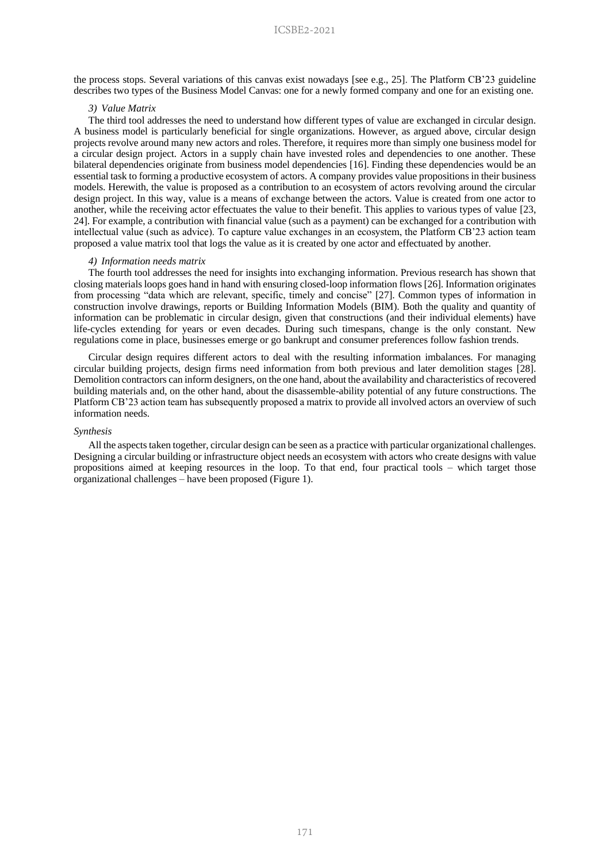the process stops. Several variations of this canvas exist nowadays [see e.g., 25]. The Platform CB'23 guideline describes two types of the Business Model Canvas: one for a newly formed company and one for an existing one.

#### *3) Value Matrix*

The third tool addresses the need to understand how different types of value are exchanged in circular design. A business model is particularly beneficial for single organizations. However, as argued above, circular design projects revolve around many new actors and roles. Therefore, it requires more than simply one business model for a circular design project. Actors in a supply chain have invested roles and dependencies to one another. These bilateral dependencies originate from business model dependencies [16]. Finding these dependencies would be an essential task to forming a productive ecosystem of actors. A company provides value propositions in their business models. Herewith, the value is proposed as a contribution to an ecosystem of actors revolving around the circular design project. In this way, value is a means of exchange between the actors. Value is created from one actor to another, while the receiving actor effectuates the value to their benefit. This applies to various types of value [23, 24]. For example, a contribution with financial value (such as a payment) can be exchanged for a contribution with intellectual value (such as advice). To capture value exchanges in an ecosystem, the Platform CB'23 action team proposed a value matrix tool that logs the value as it is created by one actor and effectuated by another.

#### *4) Information needs matrix*

The fourth tool addresses the need for insights into exchanging information. Previous research has shown that closing materials loops goes hand in hand with ensuring closed-loop information flows [26]. Information originates from processing "data which are relevant, specific, timely and concise" [27]. Common types of information in construction involve drawings, reports or Building Information Models (BIM). Both the quality and quantity of information can be problematic in circular design, given that constructions (and their individual elements) have life-cycles extending for years or even decades. During such timespans, change is the only constant. New regulations come in place, businesses emerge or go bankrupt and consumer preferences follow fashion trends.

Circular design requires different actors to deal with the resulting information imbalances. For managing circular building projects, design firms need information from both previous and later demolition stages [28]. Demolition contractors can inform designers, on the one hand, about the availability and characteristics of recovered building materials and, on the other hand, about the disassemble-ability potential of any future constructions. The Platform CB'23 action team has subsequently proposed a matrix to provide all involved actors an overview of such information needs.

## *Synthesis*

All the aspects taken together, circular design can be seen as a practice with particular organizational challenges. Designing a circular building or infrastructure object needs an ecosystem with actors who create designs with value propositions aimed at keeping resources in the loop. To that end, four practical tools – which target those organizational challenges – have been proposed (Figure 1).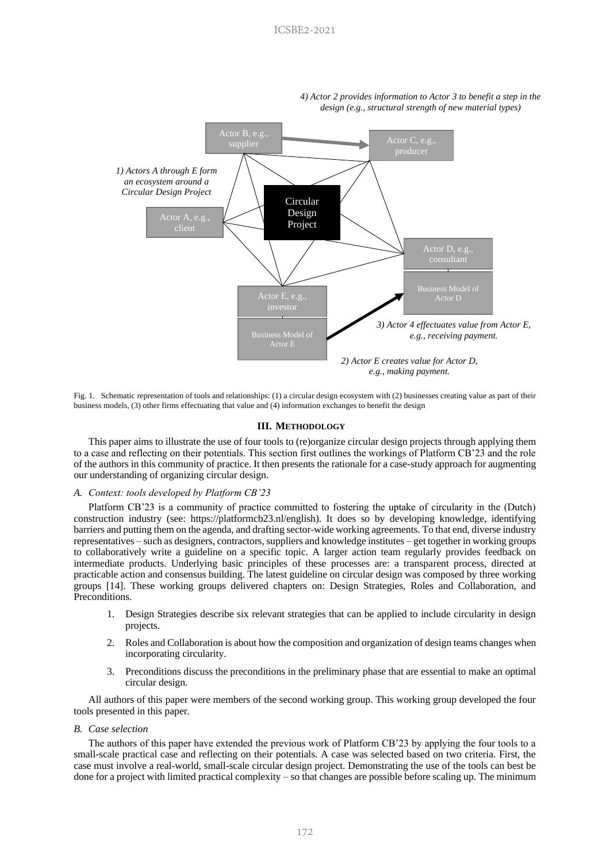

*4) Actor 2 provides information to Actor 3 to benefit a step in the design (e.g., structural strength of new material types)*

Fig. 1. Schematic representation of tools and relationships: (1) a circular design ecosystem with (2) businesses creating value as part of their business models, (3) other firms effectuating that value and (4) information exchanges to benefit the design

## **III. METHODOLOGY**

This paper aims to illustrate the use of four tools to (re)organize circular design projects through applying them to a case and reflecting on their potentials. This section first outlines the workings of Platform CB'23 and the role of the authors in this community of practice. It then presents the rationale for a case-study approach for augmenting our understanding of organizing circular design.

## *A. Context: tools developed by Platform CB'23*

Platform CB'23 is a community of practice committed to fostering the uptake of circularity in the (Dutch) construction industry (see: https://platformcb23.nl/english). It does so by developing knowledge, identifying barriers and putting them on the agenda, and drafting sector-wide working agreements. To that end, diverse industry representatives – such as designers, contractors, suppliers and knowledge institutes – get together in working groups to collaboratively write a guideline on a specific topic. A larger action team regularly provides feedback on intermediate products. Underlying basic principles of these processes are: a transparent process, directed at practicable action and consensus building. The latest guideline on circular design was composed by three working groups [14]. These working groups delivered chapters on: Design Strategies, Roles and Collaboration, and Preconditions.

- 1. Design Strategies describe six relevant strategies that can be applied to include circularity in design projects.
- 2. Roles and Collaboration is about how the composition and organization of design teams changes when incorporating circularity.
- 3. Preconditions discuss the preconditions in the preliminary phase that are essential to make an optimal circular design.

All authors of this paper were members of the second working group. This working group developed the four tools presented in this paper.

## *B. Case selection*

The authors of this paper have extended the previous work of Platform CB'23 by applying the four tools to a small-scale practical case and reflecting on their potentials. A case was selected based on two criteria. First, the case must involve a real-world, small-scale circular design project. Demonstrating the use of the tools can best be done for a project with limited practical complexity – so that changes are possible before scaling up. The minimum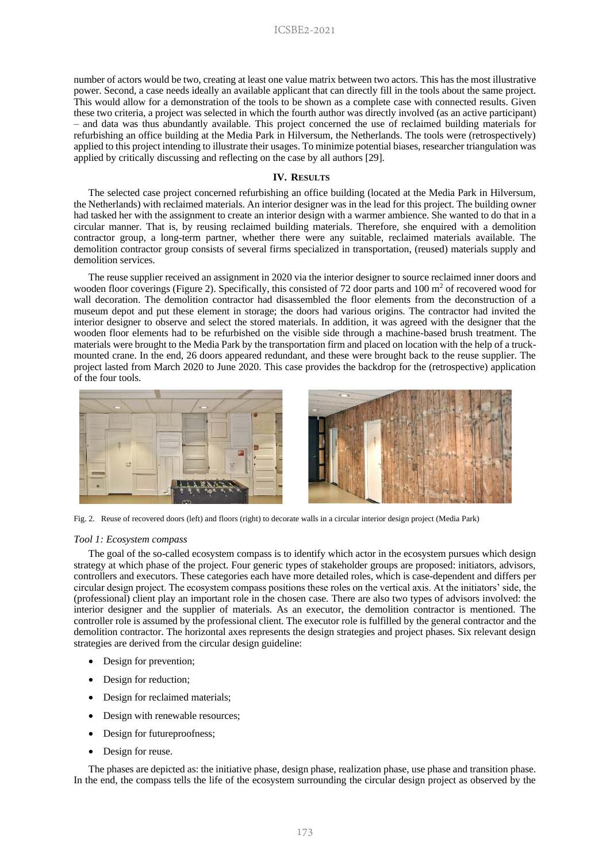number of actors would be two, creating at least one value matrix between two actors. This has the most illustrative power. Second, a case needs ideally an available applicant that can directly fill in the tools about the same project. This would allow for a demonstration of the tools to be shown as a complete case with connected results. Given these two criteria, a project was selected in which the fourth author was directly involved (as an active participant) – and data was thus abundantly available. This project concerned the use of reclaimed building materials for refurbishing an office building at the Media Park in Hilversum, the Netherlands. The tools were (retrospectively) applied to this project intending to illustrate their usages. To minimize potential biases, researcher triangulation was applied by critically discussing and reflecting on the case by all authors [29].

#### **IV. RESULTS**

The selected case project concerned refurbishing an office building (located at the Media Park in Hilversum, the Netherlands) with reclaimed materials. An interior designer was in the lead for this project. The building owner had tasked her with the assignment to create an interior design with a warmer ambience. She wanted to do that in a circular manner. That is, by reusing reclaimed building materials. Therefore, she enquired with a demolition contractor group, a long-term partner, whether there were any suitable, reclaimed materials available. The demolition contractor group consists of several firms specialized in transportation, (reused) materials supply and demolition services.

The reuse supplier received an assignment in 2020 via the interior designer to source reclaimed inner doors and wooden floor coverings (Figure 2). Specifically, this consisted of 72 door parts and 100  $m<sup>2</sup>$  of recovered wood for wall decoration. The demolition contractor had disassembled the floor elements from the deconstruction of a museum depot and put these element in storage; the doors had various origins. The contractor had invited the interior designer to observe and select the stored materials. In addition, it was agreed with the designer that the wooden floor elements had to be refurbished on the visible side through a machine-based brush treatment. The materials were brought to the Media Park by the transportation firm and placed on location with the help of a truckmounted crane. In the end, 26 doors appeared redundant, and these were brought back to the reuse supplier. The project lasted from March 2020 to June 2020. This case provides the backdrop for the (retrospective) application of the four tools.



Fig. 2. Reuse of recovered doors (left) and floors (right) to decorate walls in a circular interior design project (Media Park)

#### *Tool 1: Ecosystem compass*

The goal of the so-called ecosystem compass is to identify which actor in the ecosystem pursues which design strategy at which phase of the project. Four generic types of stakeholder groups are proposed: initiators, advisors, controllers and executors. These categories each have more detailed roles, which is case-dependent and differs per circular design project. The ecosystem compass positions these roles on the vertical axis. At the initiators' side, the (professional) client play an important role in the chosen case. There are also two types of advisors involved: the interior designer and the supplier of materials. As an executor, the demolition contractor is mentioned. The controller role is assumed by the professional client. The executor role is fulfilled by the general contractor and the demolition contractor. The horizontal axes represents the design strategies and project phases. Six relevant design strategies are derived from the circular design guideline:

- Design for prevention;
- Design for reduction;
- Design for reclaimed materials;
- Design with renewable resources;
- Design for future proofness;
- Design for reuse.

The phases are depicted as: the initiative phase, design phase, realization phase, use phase and transition phase. In the end, the compass tells the life of the ecosystem surrounding the circular design project as observed by the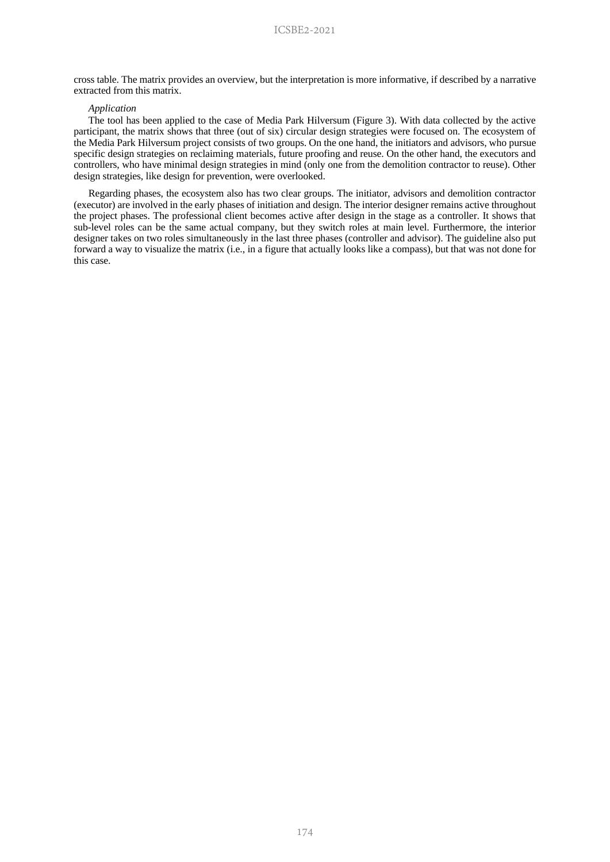cross table. The matrix provides an overview, but the interpretation is more informative, if described by a narrative extracted from this matrix.

## *Application*

The tool has been applied to the case of Media Park Hilversum (Figure 3). With data collected by the active participant, the matrix shows that three (out of six) circular design strategies were focused on. The ecosystem of the Media Park Hilversum project consists of two groups. On the one hand, the initiators and advisors, who pursue specific design strategies on reclaiming materials, future proofing and reuse. On the other hand, the executors and controllers, who have minimal design strategies in mind (only one from the demolition contractor to reuse). Other design strategies, like design for prevention, were overlooked.

Regarding phases, the ecosystem also has two clear groups. The initiator, advisors and demolition contractor (executor) are involved in the early phases of initiation and design. The interior designer remains active throughout the project phases. The professional client becomes active after design in the stage as a controller. It shows that sub-level roles can be the same actual company, but they switch roles at main level. Furthermore, the interior designer takes on two roles simultaneously in the last three phases (controller and advisor). The guideline also put forward a way to visualize the matrix (i.e., in a figure that actually looks like a compass), but that was not done for this case.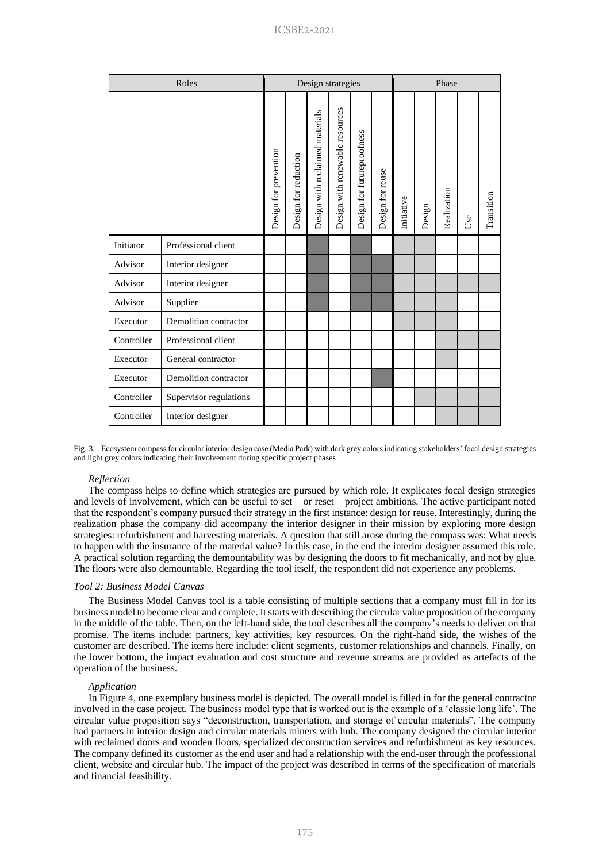| Roles      |                        | Design strategies     |                      |                                 |                                 |                            | Phase            |            |        |             |     |            |
|------------|------------------------|-----------------------|----------------------|---------------------------------|---------------------------------|----------------------------|------------------|------------|--------|-------------|-----|------------|
|            |                        | Design for prevention | Design for reduction | Design with reclaimed materials | Design with renewable resources | Design for futureproofness | Design for reuse | Initiative | Design | Realization | Use | Transition |
| Initiator  | Professional client    |                       |                      |                                 |                                 |                            |                  |            |        |             |     |            |
| Advisor    | Interior designer      |                       |                      |                                 |                                 |                            |                  |            |        |             |     |            |
| Advisor    | Interior designer      |                       |                      |                                 |                                 |                            |                  |            |        |             |     |            |
| Advisor    | Supplier               |                       |                      |                                 |                                 |                            |                  |            |        |             |     |            |
| Executor   | Demolition contractor  |                       |                      |                                 |                                 |                            |                  |            |        |             |     |            |
| Controller | Professional client    |                       |                      |                                 |                                 |                            |                  |            |        |             |     |            |
| Executor   | General contractor     |                       |                      |                                 |                                 |                            |                  |            |        |             |     |            |
| Executor   | Demolition contractor  |                       |                      |                                 |                                 |                            |                  |            |        |             |     |            |
| Controller | Supervisor regulations |                       |                      |                                 |                                 |                            |                  |            |        |             |     |            |
| Controller | Interior designer      |                       |                      |                                 |                                 |                            |                  |            |        |             |     |            |

Fig. 3. Ecosystem compass for circular interior design case (Media Park) with dark grey colors indicating stakeholders' focal design strategies and light grey colors indicating their involvement during specific project phases

## *Reflection*

The compass helps to define which strategies are pursued by which role. It explicates focal design strategies and levels of involvement, which can be useful to set – or reset – project ambitions. The active participant noted that the respondent's company pursued their strategy in the first instance: design for reuse. Interestingly, during the realization phase the company did accompany the interior designer in their mission by exploring more design strategies: refurbishment and harvesting materials. A question that still arose during the compass was: What needs to happen with the insurance of the material value? In this case, in the end the interior designer assumed this role. A practical solution regarding the demountability was by designing the doors to fit mechanically, and not by glue. The floors were also demountable. Regarding the tool itself, the respondent did not experience any problems.

#### *Tool 2: Business Model Canvas*

The Business Model Canvas tool is a table consisting of multiple sections that a company must fill in for its business model to become clear and complete. It starts with describing the circular value proposition of the company in the middle of the table. Then, on the left-hand side, the tool describes all the company's needs to deliver on that promise. The items include: partners, key activities, key resources. On the right-hand side, the wishes of the customer are described. The items here include: client segments, customer relationships and channels. Finally, on the lower bottom, the impact evaluation and cost structure and revenue streams are provided as artefacts of the operation of the business.

#### *Application*

In Figure 4, one exemplary business model is depicted. The overall model is filled in for the general contractor involved in the case project. The business model type that is worked out is the example of a 'classic long life'. The circular value proposition says "deconstruction, transportation, and storage of circular materials". The company had partners in interior design and circular materials miners with hub. The company designed the circular interior with reclaimed doors and wooden floors, specialized deconstruction services and refurbishment as key resources. The company defined its customer as the end user and had a relationship with the end-user through the professional client, website and circular hub. The impact of the project was described in terms of the specification of materials and financial feasibility.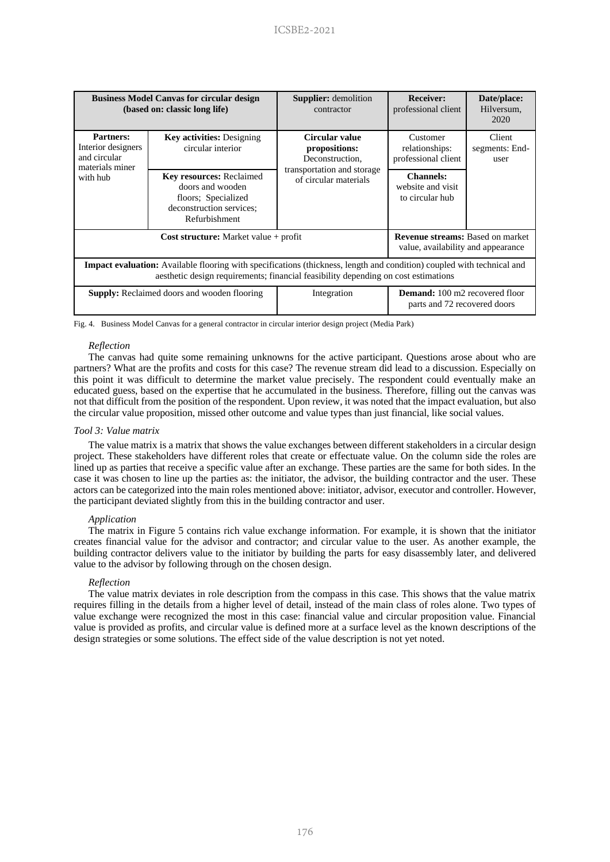| <b>Business Model Canvas for circular design</b><br>(based on: classic long life)                                                                                                                                   |                                                                                                                         | <b>Supplier:</b> demolition<br>contractor           | <b>Receiver:</b><br>professional client                                       | Date/place:<br>Hilversum,<br>2020 |  |  |  |  |
|---------------------------------------------------------------------------------------------------------------------------------------------------------------------------------------------------------------------|-------------------------------------------------------------------------------------------------------------------------|-----------------------------------------------------|-------------------------------------------------------------------------------|-----------------------------------|--|--|--|--|
| <b>Partners:</b><br>Interior designers<br>and circular<br>materials miner<br>with hub                                                                                                                               | <b>Key activities:</b> Designing<br>circular interior                                                                   | Circular value<br>propositions:<br>Deconstruction,  | Customer<br>relationships:<br>professional client                             | Client<br>segments: End-<br>user  |  |  |  |  |
|                                                                                                                                                                                                                     | <b>Key resources: Reclaimed</b><br>doors and wooden<br>floors; Specialized<br>deconstruction services:<br>Refurbishment | transportation and storage<br>of circular materials | <b>Channels:</b><br>website and visit<br>to circular hub                      |                                   |  |  |  |  |
|                                                                                                                                                                                                                     | $Cost structure: Market value + profit$                                                                                 |                                                     | <b>Revenue streams: Based on market</b><br>value, availability and appearance |                                   |  |  |  |  |
| <b>Impact evaluation:</b> Available flooring with specifications (thickness, length and condition) coupled with technical and<br>aesthetic design requirements; financial feasibility depending on cost estimations |                                                                                                                         |                                                     |                                                                               |                                   |  |  |  |  |
|                                                                                                                                                                                                                     | <b>Supply:</b> Reclaimed doors and wooden flooring                                                                      | Integration                                         | <b>Demand:</b> 100 m2 recovered floor<br>parts and 72 recovered doors         |                                   |  |  |  |  |

Fig. 4. Business Model Canvas for a general contractor in circular interior design project (Media Park)

## *Reflection*

The canvas had quite some remaining unknowns for the active participant. Questions arose about who are partners? What are the profits and costs for this case? The revenue stream did lead to a discussion. Especially on this point it was difficult to determine the market value precisely. The respondent could eventually make an educated guess, based on the expertise that he accumulated in the business. Therefore, filling out the canvas was not that difficult from the position of the respondent. Upon review, it was noted that the impact evaluation, but also the circular value proposition, missed other outcome and value types than just financial, like social values.

### *Tool 3: Value matrix*

The value matrix is a matrix that shows the value exchanges between different stakeholders in a circular design project. These stakeholders have different roles that create or effectuate value. On the column side the roles are lined up as parties that receive a specific value after an exchange. These parties are the same for both sides. In the case it was chosen to line up the parties as: the initiator, the advisor, the building contractor and the user. These actors can be categorized into the main roles mentioned above: initiator, advisor, executor and controller. However, the participant deviated slightly from this in the building contractor and user.

#### *Application*

The matrix in Figure 5 contains rich value exchange information. For example, it is shown that the initiator creates financial value for the advisor and contractor; and circular value to the user. As another example, the building contractor delivers value to the initiator by building the parts for easy disassembly later, and delivered value to the advisor by following through on the chosen design.

#### *Reflection*

The value matrix deviates in role description from the compass in this case. This shows that the value matrix requires filling in the details from a higher level of detail, instead of the main class of roles alone. Two types of value exchange were recognized the most in this case: financial value and circular proposition value. Financial value is provided as profits, and circular value is defined more at a surface level as the known descriptions of the design strategies or some solutions. The effect side of the value description is not yet noted.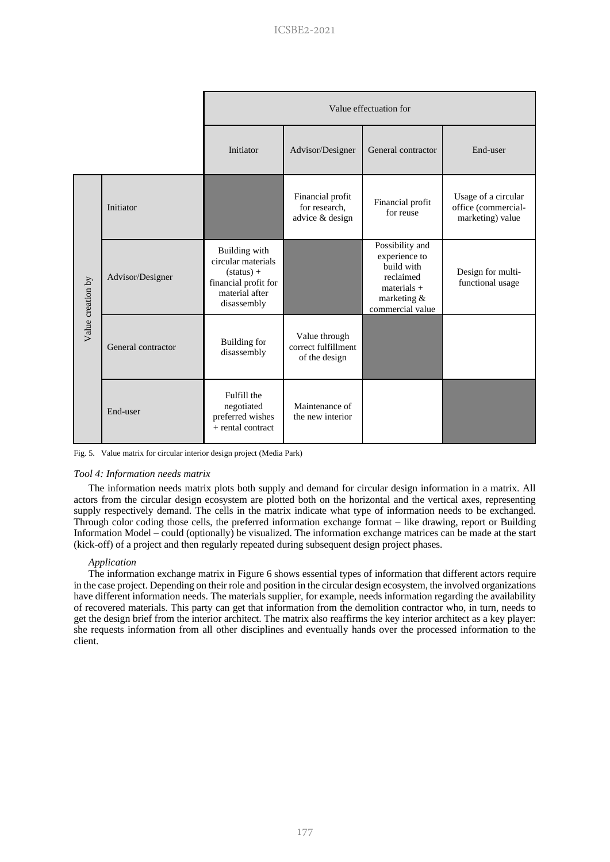|                   |                    | Value effectuation for                                                                                       |                                                       |                                                                                                                 |                                                                |  |  |  |
|-------------------|--------------------|--------------------------------------------------------------------------------------------------------------|-------------------------------------------------------|-----------------------------------------------------------------------------------------------------------------|----------------------------------------------------------------|--|--|--|
|                   |                    | Initiator                                                                                                    | Advisor/Designer                                      | General contractor                                                                                              | End-user                                                       |  |  |  |
| Value creation by | Initiator          |                                                                                                              | Financial profit<br>for research,<br>advice & design  | Financial profit<br>for reuse                                                                                   | Usage of a circular<br>office (commercial-<br>marketing) value |  |  |  |
|                   | Advisor/Designer   | Building with<br>circular materials<br>$(status) +$<br>financial profit for<br>material after<br>disassembly |                                                       | Possibility and<br>experience to<br>build with<br>reclaimed<br>$materials +$<br>marketing &<br>commercial value | Design for multi-<br>functional usage                          |  |  |  |
|                   | General contractor | <b>Building</b> for<br>disassembly                                                                           | Value through<br>correct fulfillment<br>of the design |                                                                                                                 |                                                                |  |  |  |
|                   | End-user           | Fulfill the<br>negotiated<br>preferred wishes<br>$+$ rental contract                                         | Maintenance of<br>the new interior                    |                                                                                                                 |                                                                |  |  |  |

Fig. 5. Value matrix for circular interior design project (Media Park)

#### *Tool 4: Information needs matrix*

The information needs matrix plots both supply and demand for circular design information in a matrix. All actors from the circular design ecosystem are plotted both on the horizontal and the vertical axes, representing supply respectively demand. The cells in the matrix indicate what type of information needs to be exchanged. Through color coding those cells, the preferred information exchange format – like drawing, report or Building Information Model – could (optionally) be visualized. The information exchange matrices can be made at the start (kick-off) of a project and then regularly repeated during subsequent design project phases.

#### *Application*

The information exchange matrix in Figure 6 shows essential types of information that different actors require in the case project. Depending on their role and position in the circular design ecosystem, the involved organizations have different information needs. The materials supplier, for example, needs information regarding the availability of recovered materials. This party can get that information from the demolition contractor who, in turn, needs to get the design brief from the interior architect. The matrix also reaffirms the key interior architect as a key player: she requests information from all other disciplines and eventually hands over the processed information to the client.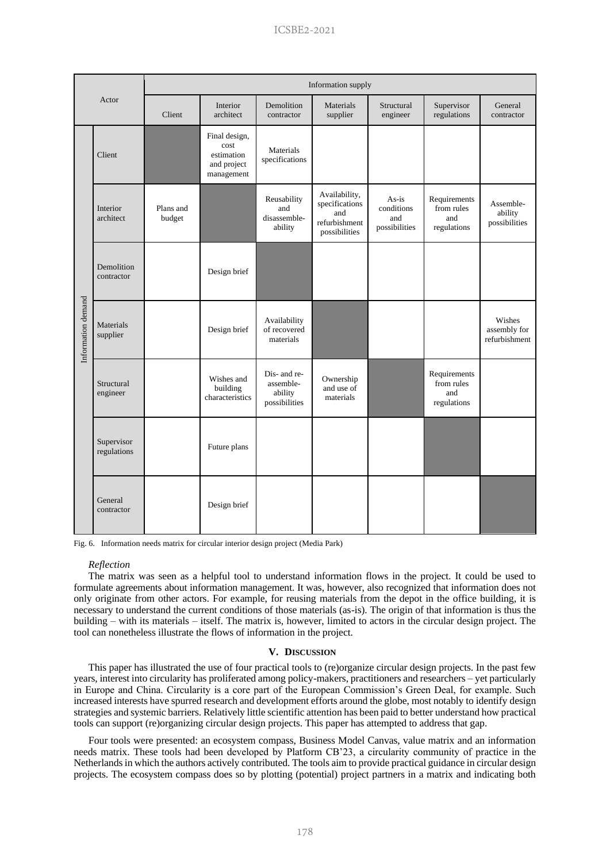| Actor              |                           | Information supply  |                                                                  |                                                       |                                                                          |                                               |                                                  |                                         |  |  |
|--------------------|---------------------------|---------------------|------------------------------------------------------------------|-------------------------------------------------------|--------------------------------------------------------------------------|-----------------------------------------------|--------------------------------------------------|-----------------------------------------|--|--|
|                    |                           | Client              | Interior<br>architect                                            | Demolition<br>contractor                              | Materials<br>supplier                                                    | Structural<br>engineer                        | Supervisor<br>regulations                        | General<br>contractor                   |  |  |
|                    | Client                    |                     | Final design,<br>cost<br>estimation<br>and project<br>management | Materials<br>specifications                           |                                                                          |                                               |                                                  |                                         |  |  |
| Information demand | Interior<br>architect     | Plans and<br>budget |                                                                  | Reusability<br>and<br>disassemble-<br>ability         | Availability,<br>specifications<br>and<br>refurbishment<br>possibilities | $As-is$<br>conditions<br>and<br>possibilities | Requirements<br>from rules<br>and<br>regulations | Assemble-<br>ability<br>possibilities   |  |  |
|                    | Demolition<br>contractor  |                     | Design brief                                                     |                                                       |                                                                          |                                               |                                                  |                                         |  |  |
|                    | Materials<br>supplier     |                     | Design brief                                                     | Availability<br>of recovered<br>materials             |                                                                          |                                               |                                                  | Wishes<br>assembly for<br>refurbishment |  |  |
|                    | Structural<br>engineer    |                     | Wishes and<br>building<br>characteristics                        | Dis- and re-<br>assemble-<br>ability<br>possibilities | Ownership<br>and use of<br>materials                                     |                                               | Requirements<br>from rules<br>and<br>regulations |                                         |  |  |
|                    | Supervisor<br>regulations |                     | Future plans                                                     |                                                       |                                                                          |                                               |                                                  |                                         |  |  |
|                    | General<br>contractor     |                     | Design brief                                                     |                                                       |                                                                          |                                               |                                                  |                                         |  |  |

Fig. 6. Information needs matrix for circular interior design project (Media Park)

#### *Reflection*

The matrix was seen as a helpful tool to understand information flows in the project. It could be used to formulate agreements about information management. It was, however, also recognized that information does not only originate from other actors. For example, for reusing materials from the depot in the office building, it is necessary to understand the current conditions of those materials (as-is). The origin of that information is thus the building – with its materials – itself. The matrix is, however, limited to actors in the circular design project. The tool can nonetheless illustrate the flows of information in the project.

#### **V. DISCUSSION**

This paper has illustrated the use of four practical tools to (re)organize circular design projects. In the past few years, interest into circularity has proliferated among policy-makers, practitioners and researchers – yet particularly in Europe and China. Circularity is a core part of the European Commission's Green Deal, for example. Such increased interests have spurred research and development efforts around the globe, most notably to identify design strategies and systemic barriers. Relatively little scientific attention has been paid to better understand how practical tools can support (re)organizing circular design projects. This paper has attempted to address that gap.

Four tools were presented: an ecosystem compass, Business Model Canvas, value matrix and an information needs matrix. These tools had been developed by Platform CB'23, a circularity community of practice in the Netherlands in which the authors actively contributed. The tools aim to provide practical guidance in circular design projects. The ecosystem compass does so by plotting (potential) project partners in a matrix and indicating both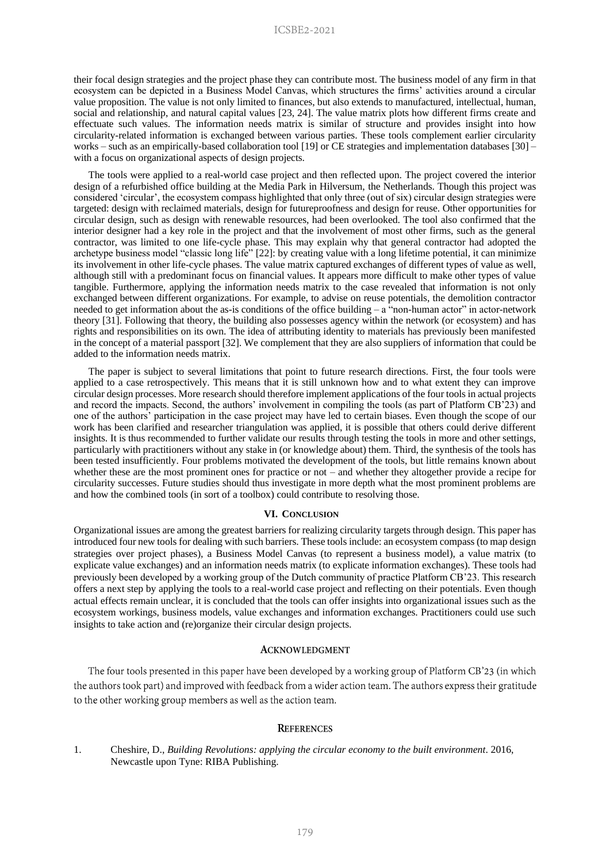their focal design strategies and the project phase they can contribute most. The business model of any firm in that ecosystem can be depicted in a Business Model Canvas, which structures the firms' activities around a circular value proposition. The value is not only limited to finances, but also extends to manufactured, intellectual, human, social and relationship, and natural capital values [23, 24]. The value matrix plots how different firms create and effectuate such values. The information needs matrix is similar of structure and provides insight into how circularity-related information is exchanged between various parties. These tools complement earlier circularity works – such as an empirically-based collaboration tool [19] or CE strategies and implementation databases [30] – with a focus on organizational aspects of design projects.

The tools were applied to a real-world case project and then reflected upon. The project covered the interior design of a refurbished office building at the Media Park in Hilversum, the Netherlands. Though this project was considered 'circular', the ecosystem compass highlighted that only three (out of six) circular design strategies were targeted: design with reclaimed materials, design for futureproofness and design for reuse. Other opportunities for circular design, such as design with renewable resources, had been overlooked. The tool also confirmed that the interior designer had a key role in the project and that the involvement of most other firms, such as the general contractor, was limited to one life-cycle phase. This may explain why that general contractor had adopted the archetype business model "classic long life" [22]: by creating value with a long lifetime potential, it can minimize its involvement in other life-cycle phases. The value matrix captured exchanges of different types of value as well, although still with a predominant focus on financial values. It appears more difficult to make other types of value tangible. Furthermore, applying the information needs matrix to the case revealed that information is not only exchanged between different organizations. For example, to advise on reuse potentials, the demolition contractor needed to get information about the as-is conditions of the office building – a "non-human actor" in actor-network theory [31]. Following that theory, the building also possesses agency within the network (or ecosystem) and has rights and responsibilities on its own. The idea of attributing identity to materials has previously been manifested in the concept of a material passport [32]. We complement that they are also suppliers of information that could be added to the information needs matrix.

The paper is subject to several limitations that point to future research directions. First, the four tools were applied to a case retrospectively. This means that it is still unknown how and to what extent they can improve circular design processes. More research should therefore implement applications of the four tools in actual projects and record the impacts. Second, the authors' involvement in compiling the tools (as part of Platform CB'23) and one of the authors' participation in the case project may have led to certain biases. Even though the scope of our work has been clarified and researcher triangulation was applied, it is possible that others could derive different insights. It is thus recommended to further validate our results through testing the tools in more and other settings, particularly with practitioners without any stake in (or knowledge about) them. Third, the synthesis of the tools has been tested insufficiently. Four problems motivated the development of the tools, but little remains known about whether these are the most prominent ones for practice or not – and whether they altogether provide a recipe for circularity successes. Future studies should thus investigate in more depth what the most prominent problems are and how the combined tools (in sort of a toolbox) could contribute to resolving those.

#### **VI. CONCLUSION**

Organizational issues are among the greatest barriers for realizing circularity targets through design. This paper has introduced four new tools for dealing with such barriers. These tools include: an ecosystem compass (to map design strategies over project phases), a Business Model Canvas (to represent a business model), a value matrix (to explicate value exchanges) and an information needs matrix (to explicate information exchanges). These tools had previously been developed by a working group of the Dutch community of practice Platform CB'23. This research offers a next step by applying the tools to a real-world case project and reflecting on their potentials. Even though actual effects remain unclear, it is concluded that the tools can offer insights into organizational issues such as the ecosystem workings, business models, value exchanges and information exchanges. Practitioners could use such insights to take action and (re)organize their circular design projects.

## **ACKNOWLEDGMENT**

The four tools presented in this paper have been developed by a working group of Platform CB'23 (in which the authors took part) and improved with feedback from a wider action team. The authors express their gratitude to the other working group members as well as the action team.

## **REFERENCES**

1. Cheshire, D., *Building Revolutions: applying the circular economy to the built environment*. 2016, Newcastle upon Tyne: RIBA Publishing.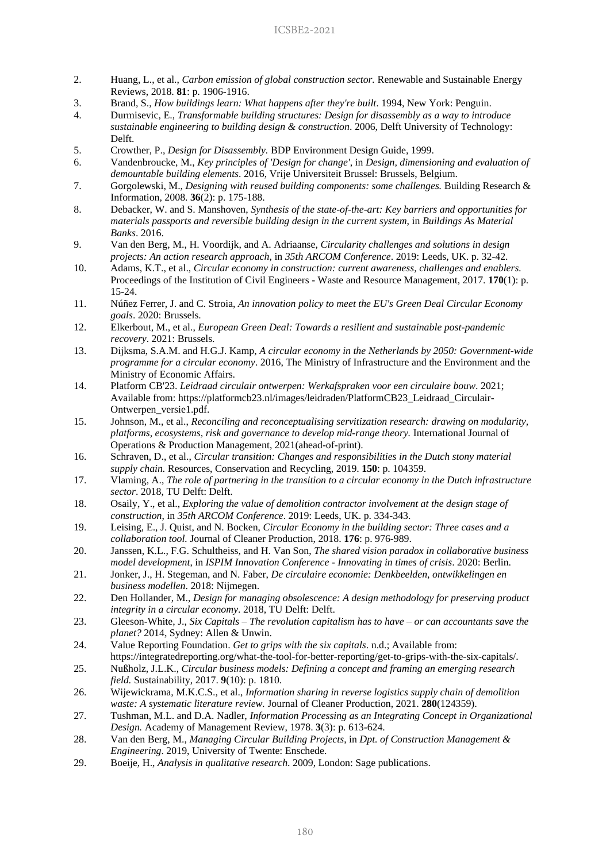- 2. Huang, L., et al., *Carbon emission of global construction sector.* Renewable and Sustainable Energy Reviews, 2018. **81**: p. 1906-1916.
- 3. Brand, S., *How buildings learn: What happens after they're built*. 1994, New York: Penguin.
- 4. Durmisevic, E., *Transformable building structures: Design for disassembly as a way to introduce sustainable engineering to building design & construction*. 2006, Delft University of Technology: Delft.
- 5. Crowther, P., *Design for Disassembly.* BDP Environment Design Guide, 1999.
- 6. Vandenbroucke, M., *Key principles of 'Design for change'*, in *Design, dimensioning and evaluation of demountable building elements*. 2016, Vrije Universiteit Brussel: Brussels, Belgium.
- 7. Gorgolewski, M., *Designing with reused building components: some challenges.* Building Research & Information, 2008. **36**(2): p. 175-188.
- 8. Debacker, W. and S. Manshoven, *Synthesis of the state-of-the-art: Key barriers and opportunities for materials passports and reversible building design in the current system*, in *Buildings As Material Banks*. 2016.
- 9. Van den Berg, M., H. Voordijk, and A. Adriaanse, *Circularity challenges and solutions in design projects: An action research approach*, in *35th ARCOM Conference*. 2019: Leeds, UK. p. 32-42.
- 10. Adams, K.T., et al., *Circular economy in construction: current awareness, challenges and enablers.* Proceedings of the Institution of Civil Engineers - Waste and Resource Management, 2017. **170**(1): p. 15-24.
- 11. Núñez Ferrer, J. and C. Stroia, *An innovation policy to meet the EU's Green Deal Circular Economy goals*. 2020: Brussels.
- 12. Elkerbout, M., et al., *European Green Deal: Towards a resilient and sustainable post-pandemic recovery*. 2021: Brussels.
- 13. Dijksma, S.A.M. and H.G.J. Kamp, *A circular economy in the Netherlands by 2050: Government-wide programme for a circular economy*. 2016, The Ministry of Infrastructure and the Environment and the Ministry of Economic Affairs.
- 14. Platform CB'23. *Leidraad circulair ontwerpen: Werkafspraken voor een circulaire bouw*. 2021; Available from: https://platformcb23.nl/images/leidraden/PlatformCB23\_Leidraad\_Circulair-Ontwerpen\_versie1.pdf.
- 15. Johnson, M., et al., *Reconciling and reconceptualising servitization research: drawing on modularity, platforms, ecosystems, risk and governance to develop mid-range theory.* International Journal of Operations & Production Management, 2021(ahead-of-print).
- 16. Schraven, D., et al., *Circular transition: Changes and responsibilities in the Dutch stony material supply chain.* Resources, Conservation and Recycling, 2019. **150**: p. 104359.
- 17. Vlaming, A., *The role of partnering in the transition to a circular economy in the Dutch infrastructure sector*. 2018, TU Delft: Delft.
- 18. Osaily, Y., et al., *Exploring the value of demolition contractor involvement at the design stage of construction*, in *35th ARCOM Conference*. 2019: Leeds, UK. p. 334-343.
- 19. Leising, E., J. Quist, and N. Bocken, *Circular Economy in the building sector: Three cases and a collaboration tool.* Journal of Cleaner Production, 2018. **176**: p. 976-989.
- 20. Janssen, K.L., F.G. Schultheiss, and H. Van Son, *The shared vision paradox in collaborative business model development*, in *ISPIM Innovation Conference - Innovating in times of crisis*. 2020: Berlin.
- 21. Jonker, J., H. Stegeman, and N. Faber, *De circulaire economie: Denkbeelden, ontwikkelingen en business modellen*. 2018: Nijmegen.
- 22. Den Hollander, M., *Design for managing obsolescence: A design methodology for preserving product integrity in a circular economy*. 2018, TU Delft: Delft.
- 23. Gleeson-White, J., *Six Capitals – The revolution capitalism has to have – or can accountants save the planet?* 2014, Sydney: Allen & Unwin.
- 24. Value Reporting Foundation. *Get to grips with the six capitals*. n.d.; Available from: https://integratedreporting.org/what-the-tool-for-better-reporting/get-to-grips-with-the-six-capitals/.
- 25. Nußholz, J.L.K., *Circular business models: Defining a concept and framing an emerging research field.* Sustainability, 2017. **9**(10): p. 1810.
- 26. Wijewickrama, M.K.C.S., et al., *Information sharing in reverse logistics supply chain of demolition waste: A systematic literature review.* Journal of Cleaner Production, 2021. **280**(124359).
- 27. Tushman, M.L. and D.A. Nadler, *Information Processing as an Integrating Concept in Organizational Design.* Academy of Management Review, 1978. **3**(3): p. 613-624.
- 28. Van den Berg, M., *Managing Circular Building Projects*, in *Dpt. of Construction Management & Engineering*. 2019, University of Twente: Enschede.
- 29. Boeije, H., *Analysis in qualitative research*. 2009, London: Sage publications.